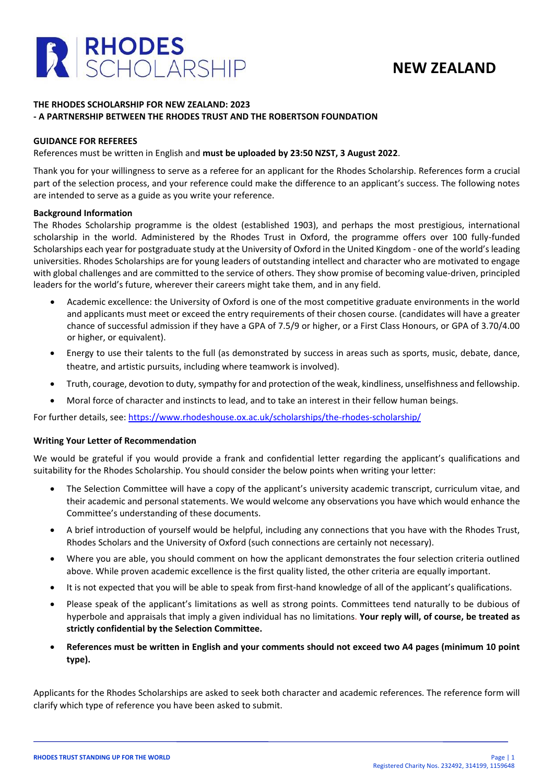

## **NEW ZEALAND**

### **THE RHODES SCHOLARSHIP FOR NEW ZEALAND: 2023 - A PARTNERSHIP BETWEEN THE RHODES TRUST AND THE ROBERTSON FOUNDATION**

### **GUIDANCE FOR REFEREES**

### References must be written in English and **must be uploaded by 23:50 NZST, 3 August 2022**.

Thank you for your willingness to serve as a referee for an applicant for the Rhodes Scholarship. References form a crucial part of the selection process, and your reference could make the difference to an applicant's success. The following notes are intended to serve as a guide as you write your reference.

### **Background Information**

The Rhodes Scholarship programme is the oldest (established 1903), and perhaps the most prestigious, international scholarship in the world. Administered by the Rhodes Trust in Oxford, the programme offers over 100 fully-funded Scholarships each year for postgraduate study at the University of Oxford in the United Kingdom - one of the world's leading universities. Rhodes Scholarships are for young leaders of outstanding intellect and character who are motivated to engage with global challenges and are committed to the service of others. They show promise of becoming value-driven, principled leaders for the world's future, wherever their careers might take them, and in any field.

- Academic excellence: the University of Oxford is one of the most competitive graduate environments in the world and applicants must meet or exceed the entry requirements of their chosen course. (candidates will have a greater chance of successful admission if they have a GPA of 7.5/9 or higher, or a First Class Honours, or GPA of 3.70/4.00 or higher, or equivalent).
- Energy to use their talents to the full (as demonstrated by success in areas such as sports, music, debate, dance, theatre, and artistic pursuits, including where teamwork is involved).
- Truth, courage, devotion to duty, sympathy for and protection of the weak, kindliness, unselfishness and fellowship.
- Moral force of character and instincts to lead, and to take an interest in their fellow human beings.

For further details, see:<https://www.rhodeshouse.ox.ac.uk/scholarships/the-rhodes-scholarship/>

#### **Writing Your Letter of Recommendation**

We would be grateful if you would provide a frank and confidential letter regarding the applicant's qualifications and suitability for the Rhodes Scholarship. You should consider the below points when writing your letter:

- The Selection Committee will have a copy of the applicant's university academic transcript, curriculum vitae, and their academic and personal statements. We would welcome any observations you have which would enhance the Committee's understanding of these documents.
- A brief introduction of yourself would be helpful, including any connections that you have with the Rhodes Trust, Rhodes Scholars and the University of Oxford (such connections are certainly not necessary).
- Where you are able, you should comment on how the applicant demonstrates the four selection criteria outlined above. While proven academic excellence is the first quality listed, the other criteria are equally important.
- It is not expected that you will be able to speak from first-hand knowledge of all of the applicant's qualifications.
- Please speak of the applicant's limitations as well as strong points. Committees tend naturally to be dubious of hyperbole and appraisals that imply a given individual has no limitations. **Your reply will, of course, be treated as strictly confidential by the Selection Committee.**
- **References must be written in English and your comments should not exceed two A4 pages (minimum 10 point type).**

Applicants for the Rhodes Scholarships are asked to seek both character and academic references. The reference form will clarify which type of reference you have been asked to submit.